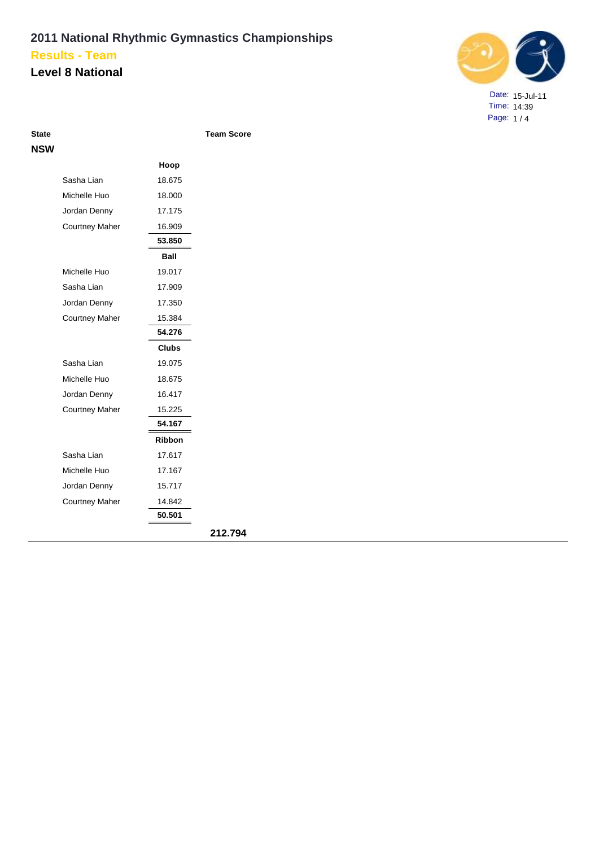### **Level 8 National**



Date: 15-Jul-11 Time: 14:39 Page: 1 / 4

| <b>State</b> |                       |               | <b>Team Score</b> |
|--------------|-----------------------|---------------|-------------------|
| NSW          |                       |               |                   |
|              |                       | Hoop          |                   |
|              | Sasha Lian            | 18.675        |                   |
|              | Michelle Huo          | 18.000        |                   |
|              | Jordan Denny          | 17.175        |                   |
|              | <b>Courtney Maher</b> | 16.909        |                   |
|              |                       | 53.850        |                   |
|              |                       | <b>Ball</b>   |                   |
|              | Michelle Huo          | 19.017        |                   |
|              | Sasha Lian            | 17.909        |                   |
|              | Jordan Denny          | 17.350        |                   |
|              | <b>Courtney Maher</b> | 15.384        |                   |
|              |                       | 54.276        |                   |
|              |                       | <b>Clubs</b>  |                   |
|              | Sasha Lian            | 19.075        |                   |
|              | Michelle Huo          | 18.675        |                   |
|              | Jordan Denny          | 16.417        |                   |
|              | <b>Courtney Maher</b> | 15.225        |                   |
|              |                       | 54.167        |                   |
|              |                       | <b>Ribbon</b> |                   |
|              | Sasha Lian            | 17.617        |                   |
|              | Michelle Huo          | 17.167        |                   |
|              | Jordan Denny          | 15.717        |                   |
|              | <b>Courtney Maher</b> | 14.842        |                   |
|              |                       | 50.501        |                   |
|              |                       |               | 212.794           |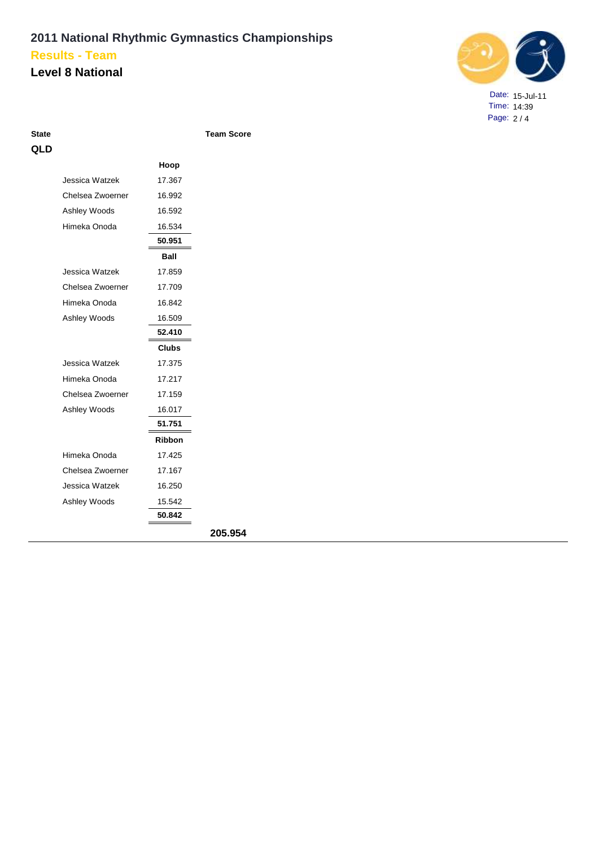#### **Level 8 National**



Date: 15-Jul-11 Time: 14:39 Page: 2 / 4

| ۰.<br>.<br>۰. |
|---------------|
|---------------|

**Team Score** 

| QLD |                  |               |         |
|-----|------------------|---------------|---------|
|     |                  | Hoop          |         |
|     | Jessica Watzek   | 17.367        |         |
|     | Chelsea Zwoerner | 16.992        |         |
|     | Ashley Woods     | 16.592        |         |
|     | Himeka Onoda     | 16.534        |         |
|     |                  | 50.951        |         |
|     |                  | Ball          |         |
|     | Jessica Watzek   | 17.859        |         |
|     | Chelsea Zwoerner | 17.709        |         |
|     | Himeka Onoda     | 16.842        |         |
|     | Ashley Woods     | 16.509        |         |
|     |                  | 52.410        |         |
|     |                  | <b>Clubs</b>  |         |
|     | Jessica Watzek   | 17.375        |         |
|     | Himeka Onoda     | 17.217        |         |
|     | Chelsea Zwoerner | 17.159        |         |
|     | Ashley Woods     | 16.017        |         |
|     |                  | 51.751        |         |
|     |                  | <b>Ribbon</b> |         |
|     | Himeka Onoda     | 17.425        |         |
|     | Chelsea Zwoerner | 17.167        |         |
|     | Jessica Watzek   | 16.250        |         |
|     | Ashley Woods     | 15.542        |         |
|     |                  | 50.842        |         |
|     |                  |               | 205.954 |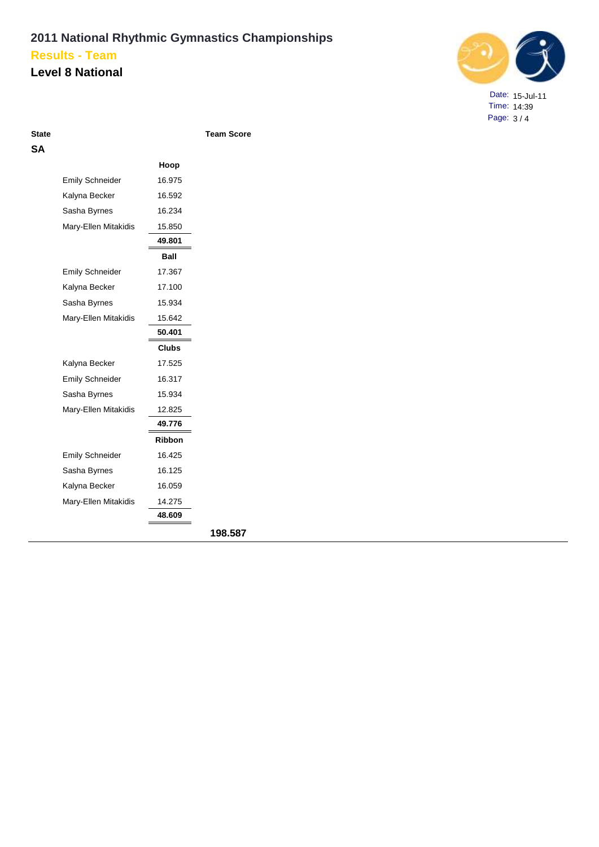### **Level 8 National**



Date: 15-Jul-11 Time: 14:39 Page: 3 / 4

| State |  |
|-------|--|
| ۵     |  |

**State Excess Excess Score Team Score** 

|                        | Hoop         |
|------------------------|--------------|
| <b>Emily Schneider</b> | 16.975       |
| Kalyna Becker          | 16.592       |
| Sasha Byrnes           | 16.234       |
| Mary-Ellen Mitakidis   | 15.850       |
|                        | 49.801       |
|                        | Ball         |
| <b>Emily Schneider</b> | 17.367       |
| Kalyna Becker          | 17.100       |
| Sasha Byrnes           | 15.934       |
| Mary-Ellen Mitakidis   | 15.642       |
|                        | 50.401       |
|                        | <b>Clubs</b> |
| Kalyna Becker          | 17.525       |
| <b>Emily Schneider</b> | 16.317       |
| Sasha Byrnes           | 15.934       |
| Mary-Ellen Mitakidis   | 12.825       |
|                        | 49.776       |
|                        | Ribbon       |
| <b>Emily Schneider</b> | 16.425       |
| Sasha Byrnes           | 16.125       |
| Kalyna Becker          | 16.059       |
| Mary-Ellen Mitakidis   | 14.275       |
|                        | 48.609       |
|                        |              |